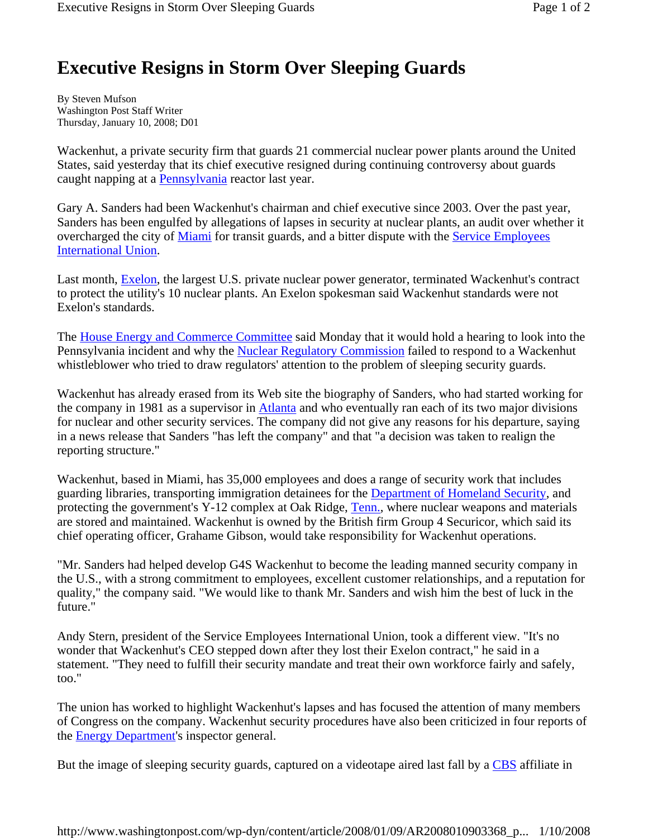## **Executive Resigns in Storm Over Sleeping Guards**

By Steven Mufson Washington Post Staff Writer Thursday, January 10, 2008; D01

Wackenhut, a private security firm that guards 21 commercial nuclear power plants around the United States, said yesterday that its chief executive resigned during continuing controversy about guards caught napping at a **Pennsylvania** reactor last year.

Gary A. Sanders had been Wackenhut's chairman and chief executive since 2003. Over the past year, Sanders has been engulfed by allegations of lapses in security at nuclear plants, an audit over whether it overcharged the city of Miami for transit guards, and a bitter dispute with the Service Employees International Union.

Last month, **Exelon**, the largest U.S. private nuclear power generator, terminated Wackenhut's contract to protect the utility's 10 nuclear plants. An Exelon spokesman said Wackenhut standards were not Exelon's standards.

The House Energy and Commerce Committee said Monday that it would hold a hearing to look into the Pennsylvania incident and why the Nuclear Regulatory Commission failed to respond to a Wackenhut whistleblower who tried to draw regulators' attention to the problem of sleeping security guards.

Wackenhut has already erased from its Web site the biography of Sanders, who had started working for the company in 1981 as a supervisor in Atlanta and who eventually ran each of its two major divisions for nuclear and other security services. The company did not give any reasons for his departure, saying in a news release that Sanders "has left the company" and that "a decision was taken to realign the reporting structure."

Wackenhut, based in Miami, has 35,000 employees and does a range of security work that includes guarding libraries, transporting immigration detainees for the Department of Homeland Security, and protecting the government's Y-12 complex at Oak Ridge, Tenn., where nuclear weapons and materials are stored and maintained. Wackenhut is owned by the British firm Group 4 Securicor, which said its chief operating officer, Grahame Gibson, would take responsibility for Wackenhut operations.

"Mr. Sanders had helped develop G4S Wackenhut to become the leading manned security company in the U.S., with a strong commitment to employees, excellent customer relationships, and a reputation for quality," the company said. "We would like to thank Mr. Sanders and wish him the best of luck in the future."

Andy Stern, president of the Service Employees International Union, took a different view. "It's no wonder that Wackenhut's CEO stepped down after they lost their Exelon contract," he said in a statement. "They need to fulfill their security mandate and treat their own workforce fairly and safely, too."

The union has worked to highlight Wackenhut's lapses and has focused the attention of many members of Congress on the company. Wackenhut security procedures have also been criticized in four reports of the Energy Department's inspector general.

But the image of sleeping security guards, captured on a videotape aired last fall by a CBS affiliate in